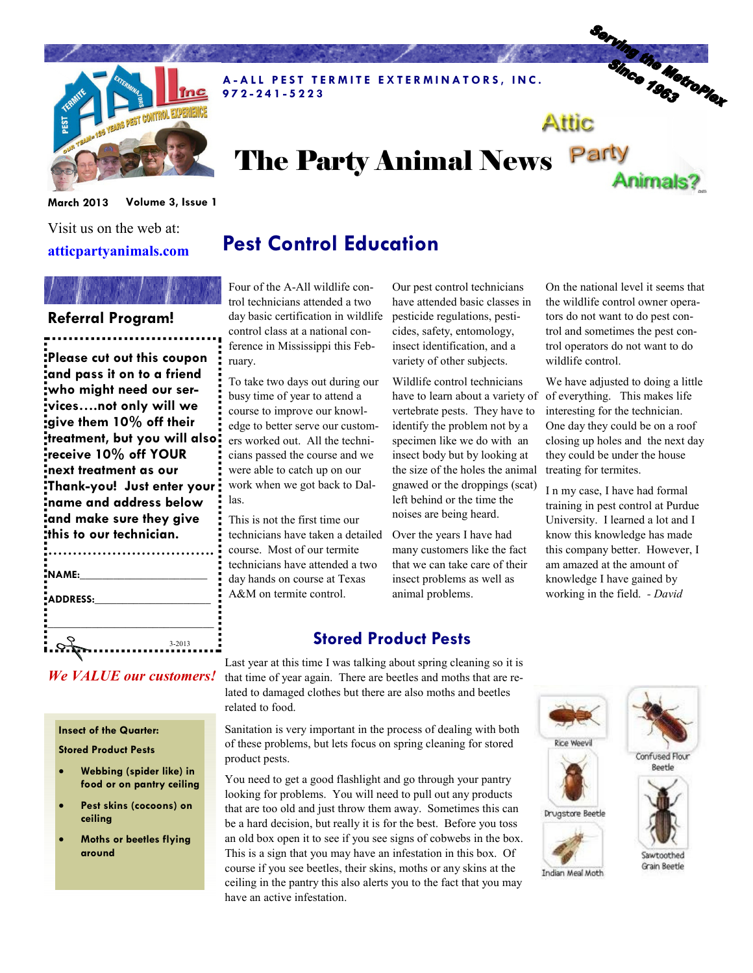

A-ALL PEST TERMITE EXTERMINATORS, INC. 9 7 2 - 2 4 1 - 5 2 2 3

# Serving the Metroplex Attic

# The Party Animal News Party



Visit us on the web at: atticpartyanimals.com

#### Referral Program!

Please cut out this coupon and pass it on to a friend who might need our services….not only will we give them 10% off their treatment, but you will also receive 10% off YOUR next treatment as our Thank-you! Just enter your name and address below and make sure they give this to our technician.

| NAME:    |            |
|----------|------------|
| ADDRESS: |            |
|          |            |
|          |            |
|          | $3 - 2013$ |

We VALUE our customers!

#### Insect of the Quarter:

Stored Product Pests

- Webbing (spider like) in food or on pantry ceiling
- Pest skins (cocoons) on ceiling
- Moths or beetles flying around

Pest Control Education

Four of the A-All wildlife control technicians attended a two day basic certification in wildlife control class at a national conference in Mississippi this February.

To take two days out during our busy time of year to attend a course to improve our knowledge to better serve our customers worked out. All the technicians passed the course and we were able to catch up on our work when we got back to Dallas.

This is not the first time our technicians have taken a detailed course. Most of our termite technicians have attended a two day hands on course at Texas A&M on termite control.

Our pest control technicians have attended basic classes in pesticide regulations, pesticides, safety, entomology, insect identification, and a variety of other subjects.

Wildlife control technicians have to learn about a variety of vertebrate pests. They have to identify the problem not by a specimen like we do with an insect body but by looking at the size of the holes the animal gnawed or the droppings (scat) left behind or the time the noises are being heard.

Over the years I have had many customers like the fact that we can take care of their insect problems as well as animal problems.

On the national level it seems that the wildlife control owner operators do not want to do pest control and sometimes the pest control operators do not want to do wildlife control.

Animals?

We have adjusted to doing a little of everything. This makes life interesting for the technician. One day they could be on a roof closing up holes and the next day they could be under the house treating for termites.

I n my case, I have had formal training in pest control at Purdue University. I learned a lot and I know this knowledge has made this company better. However, I am amazed at the amount of knowledge I have gained by working in the field. - David

### Stored Product Pests

Last year at this time I was talking about spring cleaning so it is that time of year again. There are beetles and moths that are related to damaged clothes but there are also moths and beetles related to food.

Sanitation is very important in the process of dealing with both of these problems, but lets focus on spring cleaning for stored product pests.

You need to get a good flashlight and go through your pantry looking for problems. You will need to pull out any products that are too old and just throw them away. Sometimes this can be a hard decision, but really it is for the best. Before you toss an old box open it to see if you see signs of cobwebs in the box. This is a sign that you may have an infestation in this box. Of course if you see beetles, their skins, moths or any skins at the ceiling in the pantry this also alerts you to the fact that you may have an active infestation.